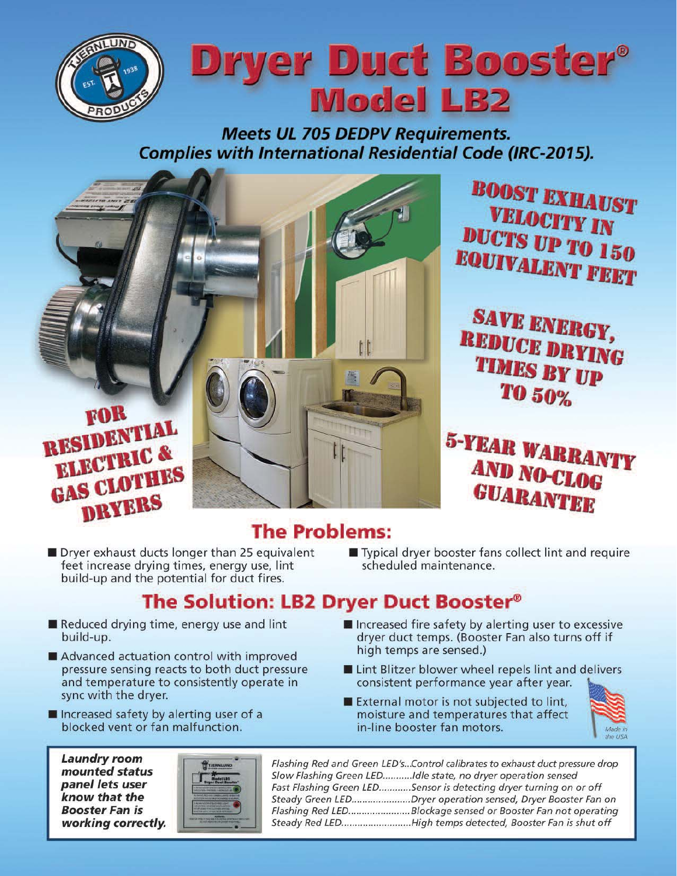

# yer Duct Booster® **Model LB2**

**Meets UL 705 DEDPV Requirements. Complies with International Residential Code (IRC-2015).** 

> **BOOST EXHAUST VELOCITY IN DUCTS UP TO 150 EQUIVALENT FEET**

**SAVE ENERGY, REDUCE DRYING TIMES BY UP** TO 50%

5-YEAR WARRANTY **AND NO-CLOG GUARANTEE** 

### FOR RESIDENTIAL **ELECTRIC & GAS CLOTHES** DRYERS

# **The Problems:**

Li

■ Dryer exhaust ducts longer than 25 equivalent feet increase drying times, energy use, lint build-up and the potential for duct fires.

#### ■ Typical dryer booster fans collect lint and require scheduled maintenance.

# The Solution: LB2 Dryer Duct Booster<sup>®</sup>

- Reduced drying time, energy use and lint build-up.
- Advanced actuation control with improved pressure sensing reacts to both duct pressure and temperature to consistently operate in sync with the dryer.
- Increased safety by alerting user of a blocked vent or fan malfunction.
- Increased fire safety by alerting user to excessive dryer duct temps. (Booster Fan also turns off if high temps are sensed.)
- Lint Blitzer blower wheel repels lint and delivers consistent performance year after year.
- External motor is not subjected to lint, moisture and temperatures that affect in-line booster fan motors.



**Laundry room** mounted status panel lets user know that the **Booster Fan is** working correctly.



Flashing Red and Green LED's...Control calibrates to exhaust duct pressure drop Slow Flashing Green LED...........Idle state, no dryer operation sensed Fast Flashing Green LED...........Sensor is detecting dryer turning on or off Steady Green LED.......................Dryer operation sensed, Dryer Booster Fan on Flashing Red LED...........................Blockage sensed or Booster Fan not operating Steady Red LED............................High temps detected, Booster Fan is shut off